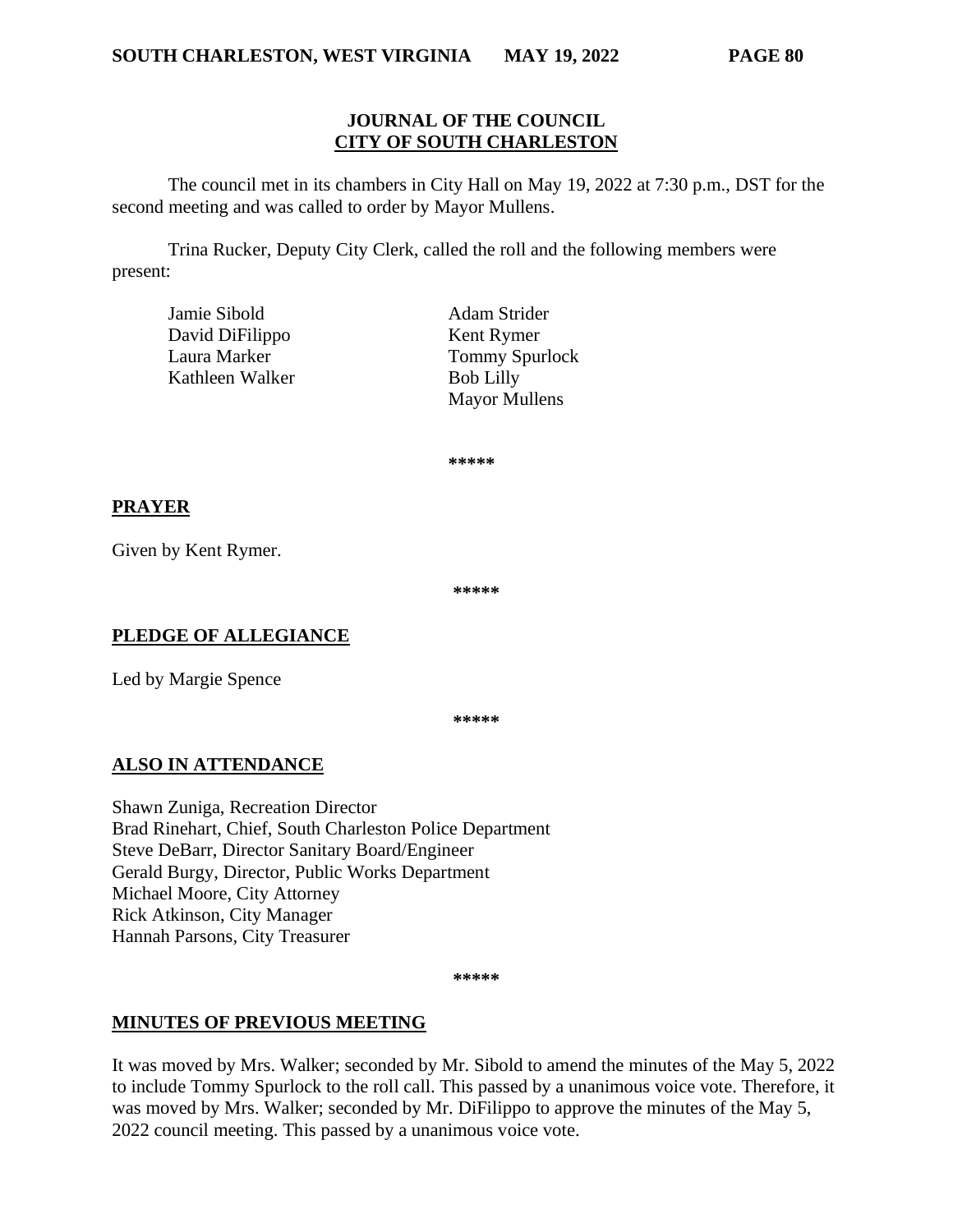#### **JOURNAL OF THE COUNCIL CITY OF SOUTH CHARLESTON**

The council met in its chambers in City Hall on May 19, 2022 at 7:30 p.m., DST for the second meeting and was called to order by Mayor Mullens.

Trina Rucker, Deputy City Clerk, called the roll and the following members were present:

| Jamie Sibold    | Adam Strider          |
|-----------------|-----------------------|
| David DiFilippo | Kent Rymer            |
| Laura Marker    | <b>Tommy Spurlock</b> |
| Kathleen Walker | <b>Bob Lilly</b>      |
|                 | <b>Mayor Mullens</b>  |

**\*\*\*\*\***

### **PRAYER**

Given by Kent Rymer.

**\*\*\*\*\***

#### **PLEDGE OF ALLEGIANCE**

Led by Margie Spence

**\*\*\*\*\***

# **ALSO IN ATTENDANCE**

Shawn Zuniga, Recreation Director Brad Rinehart, Chief, South Charleston Police Department Steve DeBarr, Director Sanitary Board/Engineer Gerald Burgy, Director, Public Works Department Michael Moore, City Attorney Rick Atkinson, City Manager Hannah Parsons, City Treasurer

**\*\*\*\*\***

# **MINUTES OF PREVIOUS MEETING**

It was moved by Mrs. Walker; seconded by Mr. Sibold to amend the minutes of the May 5, 2022 to include Tommy Spurlock to the roll call. This passed by a unanimous voice vote. Therefore, it was moved by Mrs. Walker; seconded by Mr. DiFilippo to approve the minutes of the May 5, 2022 council meeting. This passed by a unanimous voice vote.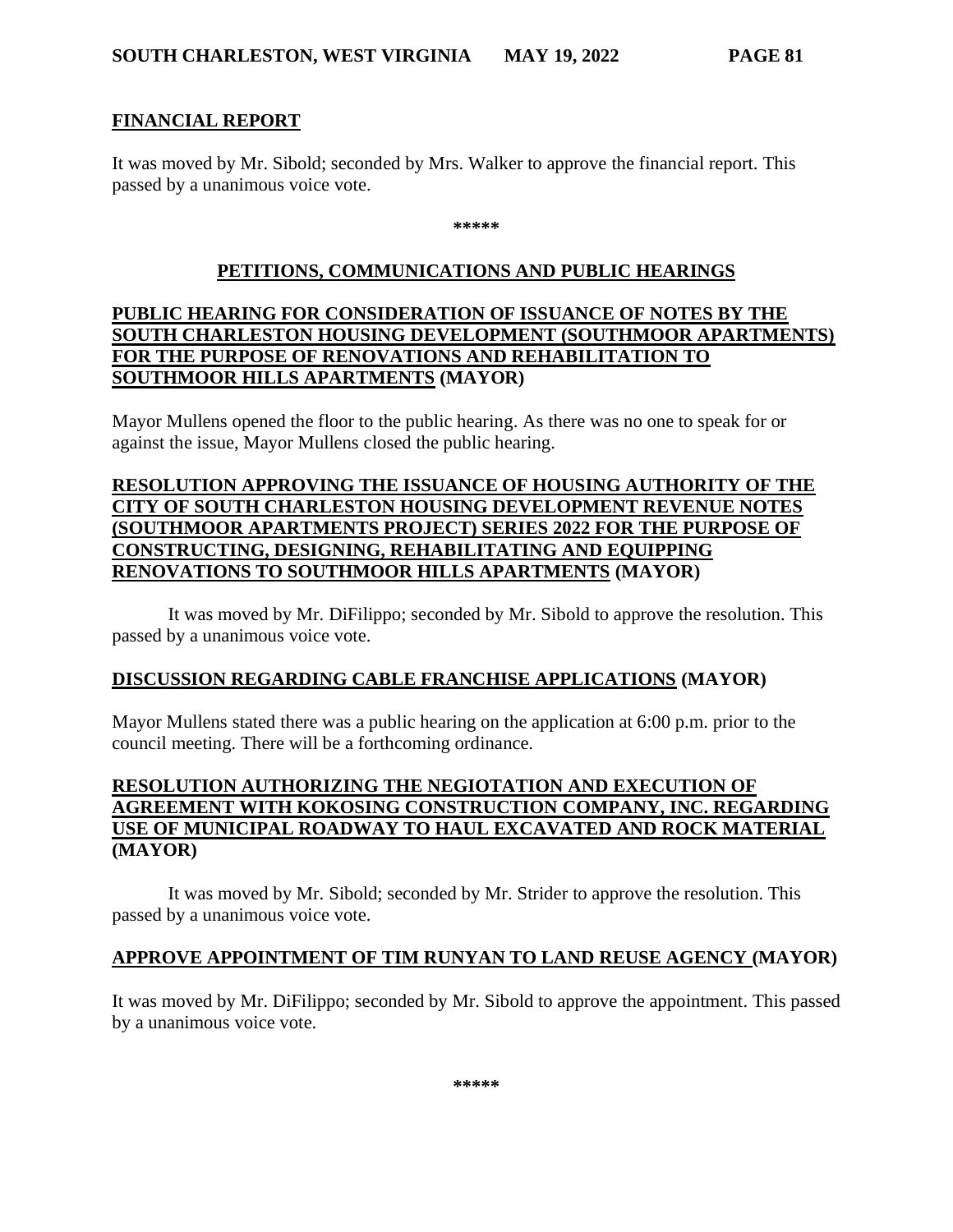#### **FINANCIAL REPORT**

It was moved by Mr. Sibold; seconded by Mrs. Walker to approve the financial report. This passed by a unanimous voice vote.

**\*\*\*\*\***

#### **PETITIONS, COMMUNICATIONS AND PUBLIC HEARINGS**

### **PUBLIC HEARING FOR CONSIDERATION OF ISSUANCE OF NOTES BY THE SOUTH CHARLESTON HOUSING DEVELOPMENT (SOUTHMOOR APARTMENTS) FOR THE PURPOSE OF RENOVATIONS AND REHABILITATION TO SOUTHMOOR HILLS APARTMENTS (MAYOR)**

Mayor Mullens opened the floor to the public hearing. As there was no one to speak for or against the issue, Mayor Mullens closed the public hearing.

# **RESOLUTION APPROVING THE ISSUANCE OF HOUSING AUTHORITY OF THE CITY OF SOUTH CHARLESTON HOUSING DEVELOPMENT REVENUE NOTES (SOUTHMOOR APARTMENTS PROJECT) SERIES 2022 FOR THE PURPOSE OF CONSTRUCTING, DESIGNING, REHABILITATING AND EQUIPPING RENOVATIONS TO SOUTHMOOR HILLS APARTMENTS (MAYOR)**

It was moved by Mr. DiFilippo; seconded by Mr. Sibold to approve the resolution. This passed by a unanimous voice vote.

#### **DISCUSSION REGARDING CABLE FRANCHISE APPLICATIONS (MAYOR)**

Mayor Mullens stated there was a public hearing on the application at 6:00 p.m. prior to the council meeting. There will be a forthcoming ordinance.

### **RESOLUTION AUTHORIZING THE NEGIOTATION AND EXECUTION OF AGREEMENT WITH KOKOSING CONSTRUCTION COMPANY, INC. REGARDING USE OF MUNICIPAL ROADWAY TO HAUL EXCAVATED AND ROCK MATERIAL (MAYOR)**

It was moved by Mr. Sibold; seconded by Mr. Strider to approve the resolution. This passed by a unanimous voice vote.

#### **APPROVE APPOINTMENT OF TIM RUNYAN TO LAND REUSE AGENCY (MAYOR)**

It was moved by Mr. DiFilippo; seconded by Mr. Sibold to approve the appointment. This passed by a unanimous voice vote.

**\*\*\*\*\***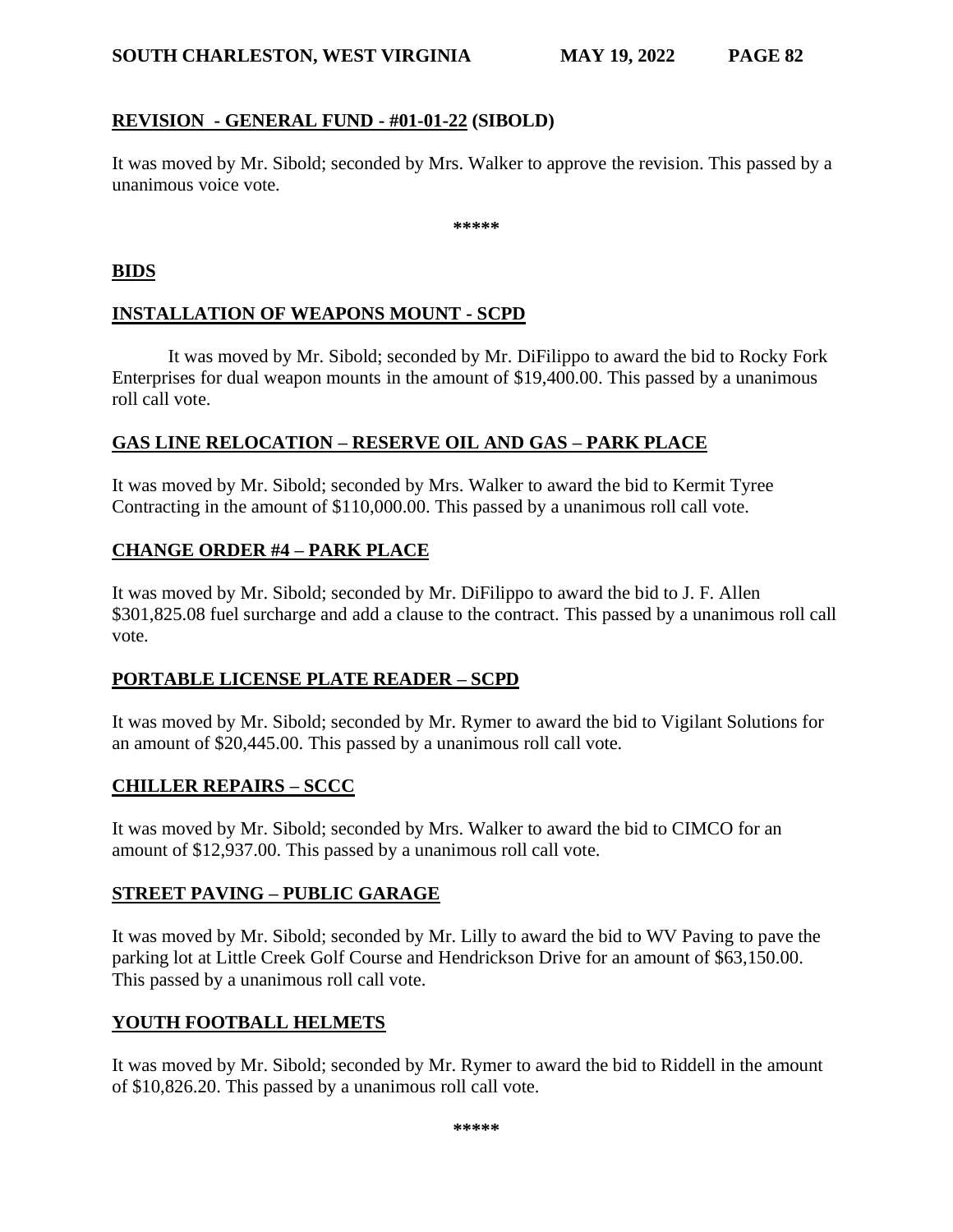#### **SOUTH CHARLESTON, WEST VIRGINIA MAY 19, 2022 PAGE 82**

# **REVISION - GENERAL FUND - #01-01-22 (SIBOLD)**

It was moved by Mr. Sibold; seconded by Mrs. Walker to approve the revision. This passed by a unanimous voice vote.

**\*\*\*\*\***

#### **BIDS**

# **INSTALLATION OF WEAPONS MOUNT - SCPD**

It was moved by Mr. Sibold; seconded by Mr. DiFilippo to award the bid to Rocky Fork Enterprises for dual weapon mounts in the amount of \$19,400.00. This passed by a unanimous roll call vote.

# **GAS LINE RELOCATION – RESERVE OIL AND GAS – PARK PLACE**

It was moved by Mr. Sibold; seconded by Mrs. Walker to award the bid to Kermit Tyree Contracting in the amount of \$110,000.00. This passed by a unanimous roll call vote.

# **CHANGE ORDER #4 – PARK PLACE**

It was moved by Mr. Sibold; seconded by Mr. DiFilippo to award the bid to J. F. Allen \$301,825.08 fuel surcharge and add a clause to the contract. This passed by a unanimous roll call vote.

#### **PORTABLE LICENSE PLATE READER – SCPD**

It was moved by Mr. Sibold; seconded by Mr. Rymer to award the bid to Vigilant Solutions for an amount of \$20,445.00. This passed by a unanimous roll call vote.

# **CHILLER REPAIRS – SCCC**

It was moved by Mr. Sibold; seconded by Mrs. Walker to award the bid to CIMCO for an amount of \$12,937.00. This passed by a unanimous roll call vote.

# **STREET PAVING – PUBLIC GARAGE**

It was moved by Mr. Sibold; seconded by Mr. Lilly to award the bid to WV Paving to pave the parking lot at Little Creek Golf Course and Hendrickson Drive for an amount of \$63,150.00. This passed by a unanimous roll call vote.

# **YOUTH FOOTBALL HELMETS**

It was moved by Mr. Sibold; seconded by Mr. Rymer to award the bid to Riddell in the amount of \$10,826.20. This passed by a unanimous roll call vote.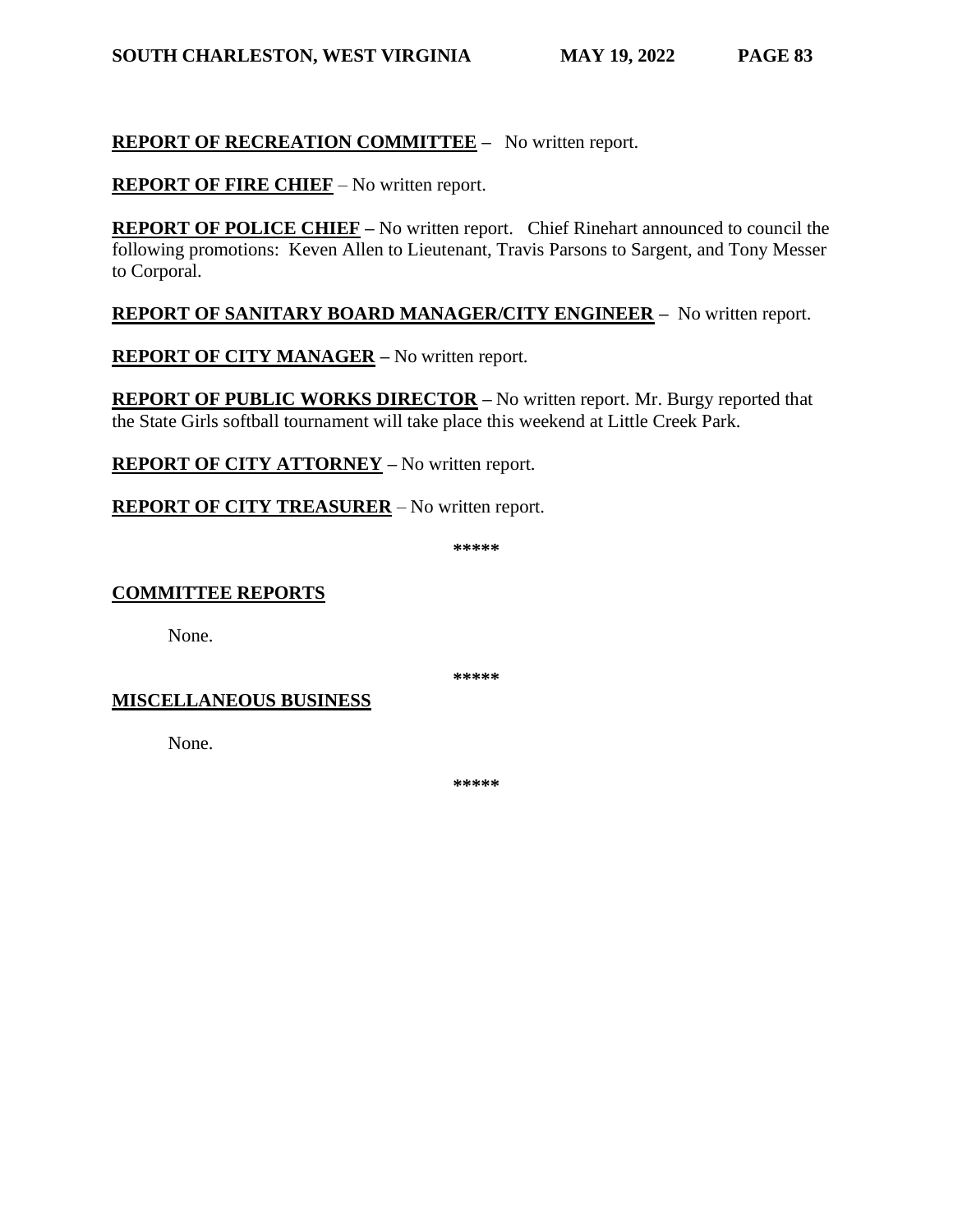## **REPORT OF RECREATION COMMITTEE –** No written report.

**REPORT OF FIRE CHIEF** – No written report.

**REPORT OF POLICE CHIEF** – No written report. Chief Rinehart announced to council the following promotions: Keven Allen to Lieutenant, Travis Parsons to Sargent, and Tony Messer to Corporal.

### **REPORT OF SANITARY BOARD MANAGER/CITY ENGINEER –** No written report.

**REPORT OF CITY MANAGER –** No written report.

**REPORT OF PUBLIC WORKS DIRECTOR –** No written report. Mr. Burgy reported that the State Girls softball tournament will take place this weekend at Little Creek Park.

**REPORT OF CITY ATTORNEY –** No written report.

**REPORT OF CITY TREASURER** – No written report.

**\*\*\*\*\***

#### **COMMITTEE REPORTS**

None.

**\*\*\*\*\***

#### **MISCELLANEOUS BUSINESS**

None.

**\*\*\*\*\***